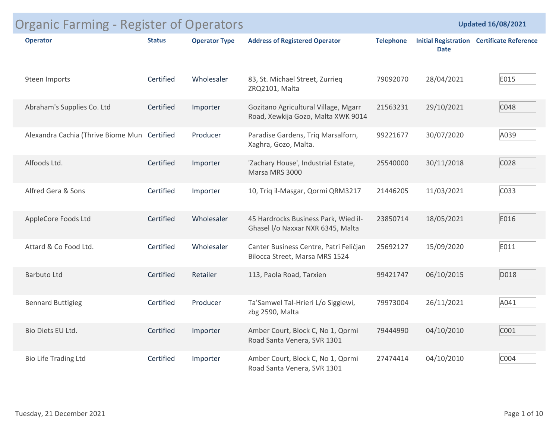| <b>Initial Registration Certificate Reference</b><br><b>Address of Registered Operator</b><br><b>Operator Type</b><br><b>Telephone</b><br><b>Operator</b><br><b>Status</b><br><b>Date</b><br>Certified<br>E015<br>9teen Imports<br>Wholesaler<br>83, St. Michael Street, Zurrieq<br>28/04/2021<br>79092070<br>ZRQ2101, Malta<br>C048<br>Abraham's Supplies Co. Ltd<br>Certified<br>Gozitano Agricultural Village, Mgarr<br>29/10/2021<br>Importer<br>21563231<br>Road, Xewkija Gozo, Malta XWK 9014<br>A039<br>Alexandra Cachia (Thrive Biome Mun Certified<br>99221677<br>30/07/2020<br>Producer<br>Paradise Gardens, Triq Marsalforn,<br>Xaghra, Gozo, Malta.<br>Alfoods Ltd.<br>Certified<br>30/11/2018<br>C028<br>'Zachary House', Industrial Estate,<br>25540000<br>Importer<br>Marsa MRS 3000<br>C033<br>Alfred Gera & Sons<br>Certified<br>10, Triq il-Masgar, Qormi QRM3217<br>21446205<br>11/03/2021<br>Importer<br>E016<br>AppleCore Foods Ltd<br>Certified<br>Wholesaler<br>45 Hardrocks Business Park, Wied il-<br>18/05/2021<br>23850714<br>Ghasel I/o Naxxar NXR 6345, Malta<br>E011<br>Certified<br>Attard & Co Food Ltd.<br>Wholesaler<br>15/09/2020<br>Canter Business Centre, Patri Felicjan<br>25692127<br>Bilocca Street, Marsa MRS 1524<br>06/10/2015<br>D018<br>Certified<br>Retailer<br>113, Paola Road, Tarxien<br><b>Barbuto Ltd</b><br>99421747<br>A041<br>Certified<br>26/11/2021<br><b>Bennard Buttigieg</b><br>Producer<br>Ta'Samwel Tal-Hrieri L/o Siggiewi,<br>79973004<br>zbg 2590, Malta<br>C001<br>Certified<br>04/10/2010<br>Bio Diets EU Ltd.<br>Importer<br>Amber Court, Block C, No 1, Qormi<br>79444990<br>Road Santa Venera, SVR 1301<br>C004<br>Certified<br>04/10/2010<br><b>Bio Life Trading Ltd</b><br>Amber Court, Block C, No 1, Qormi<br>Importer<br>27474414<br>Road Santa Venera, SVR 1301 | <b>Organic Farming - Register of Operators</b> |  |  | <b>Updated 16/08/2021</b> |
|---------------------------------------------------------------------------------------------------------------------------------------------------------------------------------------------------------------------------------------------------------------------------------------------------------------------------------------------------------------------------------------------------------------------------------------------------------------------------------------------------------------------------------------------------------------------------------------------------------------------------------------------------------------------------------------------------------------------------------------------------------------------------------------------------------------------------------------------------------------------------------------------------------------------------------------------------------------------------------------------------------------------------------------------------------------------------------------------------------------------------------------------------------------------------------------------------------------------------------------------------------------------------------------------------------------------------------------------------------------------------------------------------------------------------------------------------------------------------------------------------------------------------------------------------------------------------------------------------------------------------------------------------------------------------------------------------------------------------------------------------------------------------------------------------------------------------------------------|------------------------------------------------|--|--|---------------------------|
|                                                                                                                                                                                                                                                                                                                                                                                                                                                                                                                                                                                                                                                                                                                                                                                                                                                                                                                                                                                                                                                                                                                                                                                                                                                                                                                                                                                                                                                                                                                                                                                                                                                                                                                                                                                                                                             |                                                |  |  |                           |
|                                                                                                                                                                                                                                                                                                                                                                                                                                                                                                                                                                                                                                                                                                                                                                                                                                                                                                                                                                                                                                                                                                                                                                                                                                                                                                                                                                                                                                                                                                                                                                                                                                                                                                                                                                                                                                             |                                                |  |  |                           |
|                                                                                                                                                                                                                                                                                                                                                                                                                                                                                                                                                                                                                                                                                                                                                                                                                                                                                                                                                                                                                                                                                                                                                                                                                                                                                                                                                                                                                                                                                                                                                                                                                                                                                                                                                                                                                                             |                                                |  |  |                           |
|                                                                                                                                                                                                                                                                                                                                                                                                                                                                                                                                                                                                                                                                                                                                                                                                                                                                                                                                                                                                                                                                                                                                                                                                                                                                                                                                                                                                                                                                                                                                                                                                                                                                                                                                                                                                                                             |                                                |  |  |                           |
|                                                                                                                                                                                                                                                                                                                                                                                                                                                                                                                                                                                                                                                                                                                                                                                                                                                                                                                                                                                                                                                                                                                                                                                                                                                                                                                                                                                                                                                                                                                                                                                                                                                                                                                                                                                                                                             |                                                |  |  |                           |
|                                                                                                                                                                                                                                                                                                                                                                                                                                                                                                                                                                                                                                                                                                                                                                                                                                                                                                                                                                                                                                                                                                                                                                                                                                                                                                                                                                                                                                                                                                                                                                                                                                                                                                                                                                                                                                             |                                                |  |  |                           |
|                                                                                                                                                                                                                                                                                                                                                                                                                                                                                                                                                                                                                                                                                                                                                                                                                                                                                                                                                                                                                                                                                                                                                                                                                                                                                                                                                                                                                                                                                                                                                                                                                                                                                                                                                                                                                                             |                                                |  |  |                           |
|                                                                                                                                                                                                                                                                                                                                                                                                                                                                                                                                                                                                                                                                                                                                                                                                                                                                                                                                                                                                                                                                                                                                                                                                                                                                                                                                                                                                                                                                                                                                                                                                                                                                                                                                                                                                                                             |                                                |  |  |                           |
|                                                                                                                                                                                                                                                                                                                                                                                                                                                                                                                                                                                                                                                                                                                                                                                                                                                                                                                                                                                                                                                                                                                                                                                                                                                                                                                                                                                                                                                                                                                                                                                                                                                                                                                                                                                                                                             |                                                |  |  |                           |
|                                                                                                                                                                                                                                                                                                                                                                                                                                                                                                                                                                                                                                                                                                                                                                                                                                                                                                                                                                                                                                                                                                                                                                                                                                                                                                                                                                                                                                                                                                                                                                                                                                                                                                                                                                                                                                             |                                                |  |  |                           |
|                                                                                                                                                                                                                                                                                                                                                                                                                                                                                                                                                                                                                                                                                                                                                                                                                                                                                                                                                                                                                                                                                                                                                                                                                                                                                                                                                                                                                                                                                                                                                                                                                                                                                                                                                                                                                                             |                                                |  |  |                           |
|                                                                                                                                                                                                                                                                                                                                                                                                                                                                                                                                                                                                                                                                                                                                                                                                                                                                                                                                                                                                                                                                                                                                                                                                                                                                                                                                                                                                                                                                                                                                                                                                                                                                                                                                                                                                                                             |                                                |  |  |                           |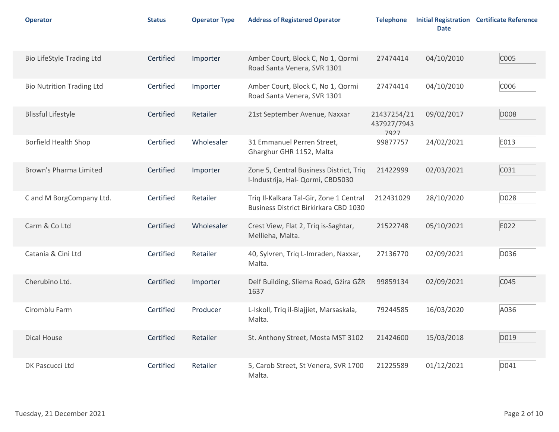| <b>Operator</b>                  | <b>Status</b> | <b>Operator Type</b> | <b>Address of Registered Operator</b>                                            | <b>Telephone</b>                   | <b>Date</b> | <b>Initial Registration Certificate Reference</b> |
|----------------------------------|---------------|----------------------|----------------------------------------------------------------------------------|------------------------------------|-------------|---------------------------------------------------|
| <b>Bio LifeStyle Trading Ltd</b> | Certified     | Importer             | Amber Court, Block C, No 1, Qormi<br>Road Santa Venera, SVR 1301                 | 27474414                           | 04/10/2010  | C005                                              |
| <b>Bio Nutrition Trading Ltd</b> | Certified     | Importer             | Amber Court, Block C, No 1, Qormi<br>Road Santa Venera, SVR 1301                 | 27474414                           | 04/10/2010  | C006                                              |
| <b>Blissful Lifestyle</b>        | Certified     | Retailer             | 21st September Avenue, Naxxar                                                    | 21437254/21<br>437927/7943<br>7927 | 09/02/2017  | D008                                              |
| Borfield Health Shop             | Certified     | Wholesaler           | 31 Emmanuel Perren Street,<br>Gharghur GHR 1152, Malta                           | 99877757                           | 24/02/2021  | E013                                              |
| Brown's Pharma Limited           | Certified     | Importer             | Zone 5, Central Business District, Triq<br>I-Industrija, Hal- Qormi, CBD5030     | 21422999                           | 02/03/2021  | C031                                              |
| C and M BorgCompany Ltd.         | Certified     | Retailer             | Triq Il-Kalkara Tal-Gir, Zone 1 Central<br>Business District Birkirkara CBD 1030 | 212431029                          | 28/10/2020  | D028                                              |
| Carm & Co Ltd                    | Certified     | Wholesaler           | Crest View, Flat 2, Triq is-Saghtar,<br>Mellieha, Malta.                         | 21522748                           | 05/10/2021  | E022                                              |
| Catania & Cini Ltd               | Certified     | Retailer             | 40, Sylvren, Triq L-Imraden, Naxxar,<br>Malta.                                   | 27136770                           | 02/09/2021  | D036                                              |
| Cherubino Ltd.                   | Certified     | Importer             | Delf Building, Sliema Road, Gżira GŻR<br>1637                                    | 99859134                           | 02/09/2021  | C045                                              |
| Ciromblu Farm                    | Certified     | Producer             | L-Iskoll, Triq il-Blajjiet, Marsaskala,<br>Malta.                                | 79244585                           | 16/03/2020  | A036                                              |
| Dical House                      | Certified     | Retailer             | St. Anthony Street, Mosta MST 3102                                               | 21424600                           | 15/03/2018  | D019                                              |
| DK Pascucci Ltd                  | Certified     | Retailer             | 5, Carob Street, St Venera, SVR 1700<br>Malta.                                   | 21225589                           | 01/12/2021  | D041                                              |
| Tuesday, 21 December 2021        |               |                      |                                                                                  |                                    |             | Page 2 of 10                                      |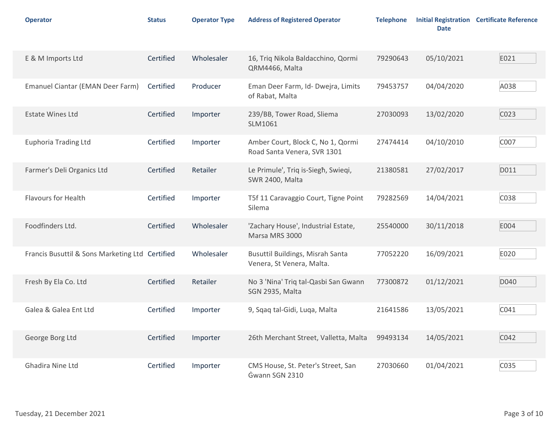| <b>Operator</b>                                 | <b>Status</b> | <b>Operator Type</b> | <b>Address of Registered Operator</b>                            | <b>Telephone</b> | <b>Date</b> | <b>Initial Registration Certificate Reference</b> |
|-------------------------------------------------|---------------|----------------------|------------------------------------------------------------------|------------------|-------------|---------------------------------------------------|
| E & M Imports Ltd                               | Certified     | Wholesaler           | 16, Triq Nikola Baldacchino, Qormi<br>QRM4466, Malta             | 79290643         | 05/10/2021  | E021                                              |
| Emanuel Ciantar (EMAN Deer Farm)                | Certified     | Producer             | Eman Deer Farm, Id- Dwejra, Limits<br>of Rabat, Malta            | 79453757         | 04/04/2020  | A038                                              |
| <b>Estate Wines Ltd</b>                         | Certified     | Importer             | 239/BB, Tower Road, Sliema<br>SLM1061                            | 27030093         | 13/02/2020  | C023                                              |
| <b>Euphoria Trading Ltd</b>                     | Certified     | Importer             | Amber Court, Block C, No 1, Qormi<br>Road Santa Venera, SVR 1301 | 27474414         | 04/10/2010  | C007                                              |
| Farmer's Deli Organics Ltd                      | Certified     | Retailer             | Le Primule', Triq is-Siegh, Swieqi,<br>SWR 2400, Malta           | 21380581         | 27/02/2017  | D011                                              |
| Flavours for Health                             | Certified     | Importer             | T5f 11 Caravaggio Court, Tigne Point<br>Silema                   | 79282569         | 14/04/2021  | C038                                              |
| Foodfinders Ltd.                                | Certified     | Wholesaler           | 'Zachary House', Industrial Estate,<br>Marsa MRS 3000            | 25540000         | 30/11/2018  | E004                                              |
| Francis Busuttil & Sons Marketing Ltd Certified |               | Wholesaler           | Busuttil Buildings, Misrah Santa<br>Venera, St Venera, Malta.    | 77052220         | 16/09/2021  | E020                                              |
| Fresh By Ela Co. Ltd                            | Certified     | Retailer             | No 3 'Nina' Triq tal-Qasbi San Gwann<br>SGN 2935, Malta          | 77300872         | 01/12/2021  | D040                                              |
| Galea & Galea Ent Ltd                           | Certified     | Importer             | 9, Sqaq tal-Gidi, Luqa, Malta                                    | 21641586         | 13/05/2021  | C041                                              |
| George Borg Ltd                                 | Certified     | Importer             | 26th Merchant Street, Valletta, Malta                            | 99493134         | 14/05/2021  | C042                                              |
| Ghadira Nine Ltd                                | Certified     | Importer             | CMS House, St. Peter's Street, San<br>Gwann SGN 2310             | 27030660         | 01/04/2021  | C035                                              |
| Tuesday, 21 December 2021                       |               |                      |                                                                  |                  |             | Page 3 of 10                                      |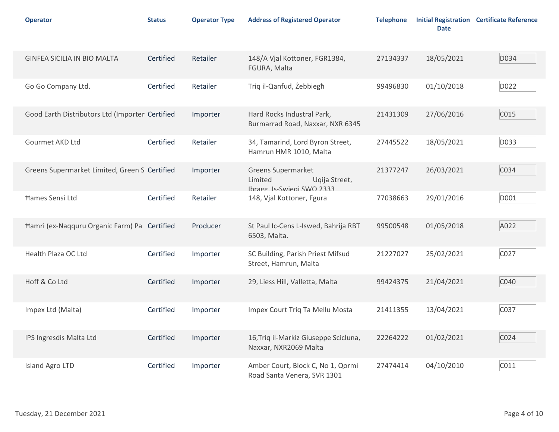| <b>Operator</b>                                 | <b>Status</b> | <b>Operator Type</b> | <b>Address of Registered Operator</b>                                         | <b>Telephone</b> | <b>Date</b> | <b>Initial Registration Certificate Reference</b> |
|-------------------------------------------------|---------------|----------------------|-------------------------------------------------------------------------------|------------------|-------------|---------------------------------------------------|
| GINFEA SICILIA IN BIO MALTA                     | Certified     | Retailer             | 148/A Vjal Kottoner, FGR1384,<br>FGURA, Malta                                 | 27134337         | 18/05/2021  | D034                                              |
| Go Go Company Ltd.                              | Certified     | Retailer             | Triq il-Qanfud, Żebbiegħ                                                      | 99496830         | 01/10/2018  | D022                                              |
| Good Earth Distributors Ltd (Importer Certified |               | Importer             | Hard Rocks Industral Park,<br>Burmarrad Road, Naxxar, NXR 6345                | 21431309         | 27/06/2016  | C015                                              |
| Gourmet AKD Ltd                                 | Certified     | Retailer             | 34, Tamarind, Lord Byron Street,<br>Hamrun HMR 1010, Malta                    | 27445522         | 18/05/2021  | D033                                              |
| Greens Supermarket Limited, Green S Certified   |               | Importer             | Greens Supermarket<br>Limited<br>Uqija Street,<br>SSSC OWN2 inquires I apardl | 21377247         | 26/03/2021  | C034                                              |
| Hames Sensi Ltd                                 | Certified     | Retailer             | 148, Vjal Kottoner, Fgura                                                     | 77038663         | 29/01/2016  | D001                                              |
| Hamri (ex-Naqquru Organic Farm) Pa Certified    |               | Producer             | St Paul Ic-Cens L-Iswed, Bahrija RBT<br>6503, Malta.                          | 99500548         | 01/05/2018  | A022                                              |
| Health Plaza OC Ltd                             | Certified     | Importer             | SC Building, Parish Priest Mifsud<br>Street, Hamrun, Malta                    | 21227027         | 25/02/2021  | C027                                              |
| Hoff & Co Ltd                                   | Certified     | Importer             | 29, Liess Hill, Valletta, Malta                                               | 99424375         | 21/04/2021  | C040                                              |
| Impex Ltd (Malta)                               | Certified     | Importer             | Impex Court Triq Ta Mellu Mosta                                               | 21411355         | 13/04/2021  | C037                                              |
| IPS Ingresdis Malta Ltd                         | Certified     | Importer             | 16, Triq il-Markiz Giuseppe Scicluna,<br>Naxxar, NXR2069 Malta                | 22264222         | 01/02/2021  | C024                                              |
| Island Agro LTD                                 | Certified     | Importer             | Amber Court, Block C, No 1, Qormi<br>Road Santa Venera, SVR 1301              | 27474414         | 04/10/2010  | C011                                              |
| Tuesday, 21 December 2021                       |               |                      |                                                                               |                  |             | Page 4 of 10                                      |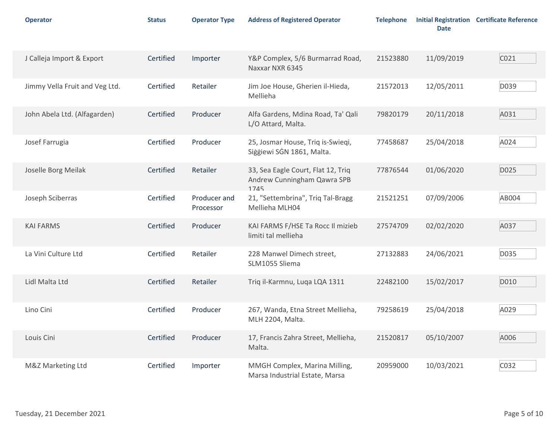| <b>Operator</b>                | <b>Status</b> | <b>Operator Type</b>      | <b>Address of Registered Operator</b>                                     | <b>Telephone</b> | <b>Date</b> | <b>Initial Registration Certificate Reference</b> |
|--------------------------------|---------------|---------------------------|---------------------------------------------------------------------------|------------------|-------------|---------------------------------------------------|
| J Calleja Import & Export      | Certified     | Importer                  | Y&P Complex, 5/6 Burmarrad Road,<br>Naxxar NXR 6345                       | 21523880         | 11/09/2019  | C021                                              |
| Jimmy Vella Fruit and Veg Ltd. | Certified     | Retailer                  | Jim Joe House, Gherien il-Hieda,<br>Mellieha                              | 21572013         | 12/05/2011  | D039                                              |
| John Abela Ltd. (Alfagarden)   | Certified     | Producer                  | Alfa Gardens, Mdina Road, Ta' Qali<br>L/O Attard, Malta.                  | 79820179         | 20/11/2018  | A031                                              |
| Josef Farrugia                 | Certified     | Producer                  | 25, Josmar House, Triq is-Swieqi,<br>Siģģiewi SGN 1861, Malta.            | 77458687         | 25/04/2018  | A024                                              |
| Joselle Borg Meilak            | Certified     | Retailer                  | 33, Sea Eagle Court, Flat 12, Triq<br>Andrew Cunningham Qawra SPB<br>1745 | 77876544         | 01/06/2020  | D025                                              |
| Joseph Sciberras               | Certified     | Producer and<br>Processor | 21, "Settembrina", Triq Tal-Bragg<br>Mellieha MLH04                       | 21521251         | 07/09/2006  | AB004                                             |
| <b>KAI FARMS</b>               | Certified     | Producer                  | KAI FARMS F/HSE Ta Rocc Il mizieb<br>limiti tal mellieha                  | 27574709         | 02/02/2020  | A037                                              |
| La Vini Culture Ltd            | Certified     | Retailer                  | 228 Manwel Dimech street,<br>SLM1055 Sliema                               | 27132883         | 24/06/2021  | D035                                              |
| Lidl Malta Ltd                 | Certified     | Retailer                  | Triq il-Karmnu, Luqa LQA 1311                                             | 22482100         | 15/02/2017  | D010                                              |
| Lino Cini                      | Certified     | Producer                  | 267, Wanda, Etna Street Mellieha,<br>MLH 2204, Malta.                     | 79258619         | 25/04/2018  | A029                                              |
| Louis Cini                     | Certified     | Producer                  | 17, Francis Zahra Street, Mellieha,<br>Malta.                             | 21520817         | 05/10/2007  | A006                                              |
| M&Z Marketing Ltd              | Certified     | Importer                  | MMGH Complex, Marina Milling,<br>Marsa Industrial Estate, Marsa           | 20959000         | 10/03/2021  | C032                                              |
| Tuesday, 21 December 2021      |               |                           |                                                                           |                  |             | Page 5 of 10                                      |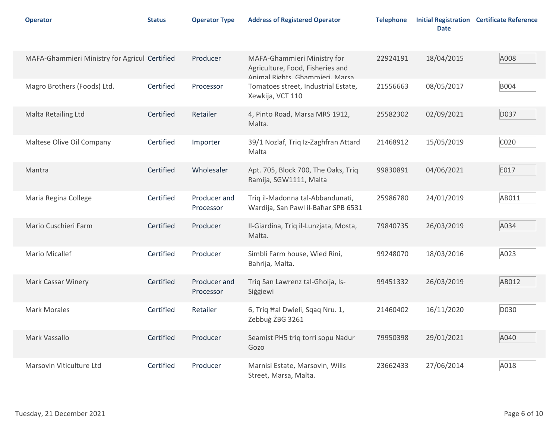| <b>Operator</b>                               | <b>Status</b> | <b>Operator Type</b>      | <b>Address of Registered Operator</b>                                                            | <b>Telephone</b> | <b>Date</b> | <b>Initial Registration Certificate Reference</b> |
|-----------------------------------------------|---------------|---------------------------|--------------------------------------------------------------------------------------------------|------------------|-------------|---------------------------------------------------|
| MAFA-Ghammieri Ministry for Agricul Certified |               | Producer                  | MAFA-Ghammieri Ministry for<br>Agriculture, Food, Fisheries and<br>Animal Rights Ghammieri Marsa | 22924191         | 18/04/2015  | A008                                              |
| Magro Brothers (Foods) Ltd.                   | Certified     | Processor                 | Tomatoes street, Industrial Estate,<br>Xewkija, VCT 110                                          | 21556663         | 08/05/2017  | <b>B004</b>                                       |
| Malta Retailing Ltd                           | Certified     | Retailer                  | 4, Pinto Road, Marsa MRS 1912,<br>Malta.                                                         | 25582302         | 02/09/2021  | D037                                              |
| Maltese Olive Oil Company                     | Certified     | Importer                  | 39/1 Nozlaf, Triq Iz-Zaghfran Attard<br>Malta                                                    | 21468912         | 15/05/2019  | C020                                              |
| Mantra                                        | Certified     | Wholesaler                | Apt. 705, Block 700, The Oaks, Triq<br>Ramija, SGW1111, Malta                                    | 99830891         | 04/06/2021  | E017                                              |
| Maria Regina College                          | Certified     | Producer and<br>Processor | Triq il-Madonna tal-Abbandunati,<br>Wardija, San Pawl il-Baħar SPB 6531                          | 25986780         | 24/01/2019  | AB011                                             |
| Mario Cuschieri Farm                          | Certified     | Producer                  | Il-Giardina, Triq il-Lunzjata, Mosta,<br>Malta.                                                  | 79840735         | 26/03/2019  | A034                                              |
| <b>Mario Micallef</b>                         | Certified     | Producer                  | Simbli Farm house, Wied Rini,<br>Bahrija, Malta.                                                 | 99248070         | 18/03/2016  | A023                                              |
| Mark Cassar Winery                            | Certified     | Producer and<br>Processor | Triq San Lawrenz tal-Għolja, Is-<br>Siġġiewi                                                     | 99451332         | 26/03/2019  | AB012                                             |
| <b>Mark Morales</b>                           | Certified     | Retailer                  | 6, Triq Hal Dwieli, Sqaq Nru. 1,<br>Żebbug ŻBG 3261                                              | 21460402         | 16/11/2020  | D030                                              |
| Mark Vassallo                                 | Certified     | Producer                  | Seamist PH5 triq torri sopu Nadur<br>Gozo                                                        | 79950398         | 29/01/2021  | A040                                              |
| Marsovin Viticulture Ltd                      | Certified     | Producer                  | Marnisi Estate, Marsovin, Wills<br>Street, Marsa, Malta.                                         | 23662433         | 27/06/2014  | A018                                              |
| Tuesday, 21 December 2021                     |               |                           |                                                                                                  |                  |             | Page 6 of 10                                      |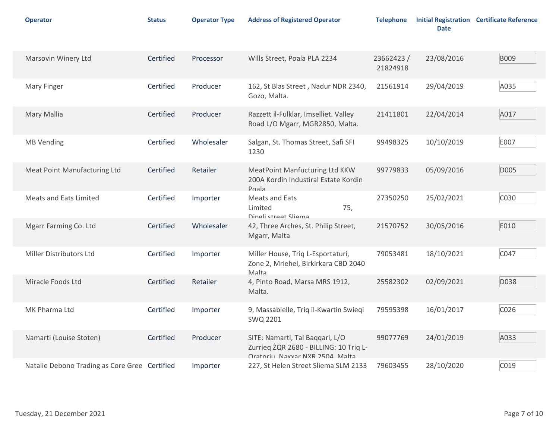| <b>Operator</b>                               | <b>Status</b> | <b>Operator Type</b> | <b>Address of Registered Operator</b>                                                                       | <b>Telephone</b>      | <b>Date</b> | <b>Initial Registration Certificate Reference</b> |
|-----------------------------------------------|---------------|----------------------|-------------------------------------------------------------------------------------------------------------|-----------------------|-------------|---------------------------------------------------|
| Marsovin Winery Ltd                           | Certified     | Processor            | Wills Street, Poala PLA 2234                                                                                | 23662423/<br>21824918 | 23/08/2016  | <b>B009</b>                                       |
| <b>Mary Finger</b>                            | Certified     | Producer             | 162, St Blas Street, Nadur NDR 2340,<br>Gozo, Malta.                                                        | 21561914              | 29/04/2019  | A035                                              |
| Mary Mallia                                   | Certified     | Producer             | Razzett il-Fulklar, Imselliet. Valley<br>Road L/O Mgarr, MGR2850, Malta.                                    | 21411801              | 22/04/2014  | A017                                              |
| <b>MB Vending</b>                             | Certified     | Wholesaler           | Salgan, St. Thomas Street, Safi SFI<br>1230                                                                 | 99498325              | 10/10/2019  | E007                                              |
| Meat Point Manufacturing Ltd                  | Certified     | Retailer             | MeatPoint Manfucturing Ltd KKW<br>200A Kordin Industiral Estate Kordin<br>Poala                             | 99779833              | 05/09/2016  | D005                                              |
| Meats and Eats Limited                        | Certified     | Importer             | Meats and Eats<br>Limited<br>75,<br>Dingli street Sliema                                                    | 27350250              | 25/02/2021  | C030                                              |
| Mgarr Farming Co. Ltd                         | Certified     | Wholesaler           | 42, Three Arches, St. Philip Street,<br>Mgarr, Malta                                                        | 21570752              | 30/05/2016  | E010                                              |
| Miller Distributors Ltd                       | Certified     | Importer             | Miller House, Triq L-Esportaturi,<br>Zone 2, Mriehel, Birkirkara CBD 2040<br>Malta                          | 79053481              | 18/10/2021  | C047                                              |
| Miracle Foods Ltd                             | Certified     | Retailer             | 4, Pinto Road, Marsa MRS 1912,<br>Malta.                                                                    | 25582302              | 02/09/2021  | D038                                              |
| MK Pharma Ltd                                 | Certified     | Importer             | 9, Massabielle, Triq il-Kwartin Swieqi<br>SWQ 2201                                                          | 79595398              | 16/01/2017  | C026                                              |
| Namarti (Louise Stoten)                       | Certified     | Producer             | SITE: Namarti, Tal Baqqari, L/O<br>Zurrieq ŻQR 2680 - BILLING: 10 Triq L-<br>Oratoriu Naxxar NXR 2504 Malta | 99077769              | 24/01/2019  | A033                                              |
| Natalie Debono Trading as Core Gree Certified |               | Importer             | 227, St Helen Street Sliema SLM 2133                                                                        | 79603455              | 28/10/2020  | C019                                              |
| Tuesday, 21 December 2021                     |               |                      |                                                                                                             |                       |             | Page 7 of 10                                      |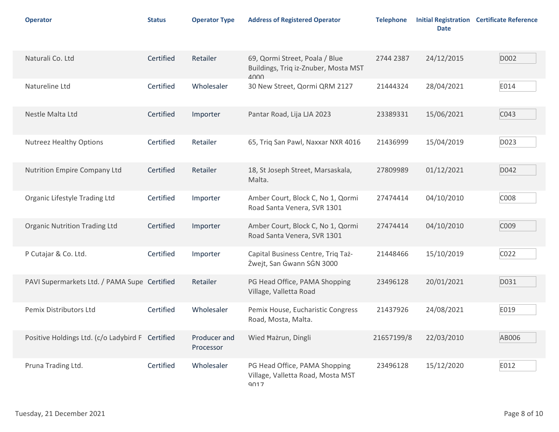| <b>Operator</b>                                  | <b>Status</b> | <b>Operator Type</b>      | <b>Address of Registered Operator</b>                                      | <b>Telephone</b> | <b>Date</b> | <b>Initial Registration Certificate Reference</b> |
|--------------------------------------------------|---------------|---------------------------|----------------------------------------------------------------------------|------------------|-------------|---------------------------------------------------|
| Naturali Co. Ltd                                 | Certified     | Retailer                  | 69, Qormi Street, Poala / Blue<br>Buildings, Triq iz-Znuber, Mosta MST     | 2744 2387        | 24/12/2015  | D002                                              |
| Natureline Ltd                                   | Certified     | Wholesaler                | $\Delta$ 000<br>30 New Street, Qormi QRM 2127                              | 21444324         | 28/04/2021  | E014                                              |
| Nestle Malta Ltd                                 | Certified     | Importer                  | Pantar Road, Lija LJA 2023                                                 | 23389331         | 15/06/2021  | C043                                              |
| <b>Nutreez Healthy Options</b>                   | Certified     | Retailer                  | 65, Triq San Pawl, Naxxar NXR 4016                                         | 21436999         | 15/04/2019  | D023                                              |
| Nutrition Empire Company Ltd                     | Certified     | Retailer                  | 18, St Joseph Street, Marsaskala,<br>Malta.                                | 27809989         | 01/12/2021  | D042                                              |
| Organic Lifestyle Trading Ltd                    | Certified     | Importer                  | Amber Court, Block C, No 1, Qormi<br>Road Santa Venera, SVR 1301           | 27474414         | 04/10/2010  | C008                                              |
| <b>Organic Nutrition Trading Ltd</b>             | Certified     | Importer                  | Amber Court, Block C, No 1, Qormi<br>Road Santa Venera, SVR 1301           | 27474414         | 04/10/2010  | C009                                              |
| P Cutajar & Co. Ltd.                             | Certified     | Importer                  | Capital Business Centre, Triq Taż-<br>Żwejt, San Ġwann SGN 3000            | 21448466         | 15/10/2019  | C022                                              |
| PAVI Supermarkets Ltd. / PAMA Supe Certified     |               | Retailer                  | PG Head Office, PAMA Shopping<br>Village, Valletta Road                    | 23496128         | 20/01/2021  | D031                                              |
| Pemix Distributors Ltd                           | Certified     | Wholesaler                | Pemix House, Eucharistic Congress<br>Road, Mosta, Malta.                   | 21437926         | 24/08/2021  | E019                                              |
| Positive Holdings Ltd. (c/o Ladybird F Certified |               | Producer and<br>Processor | Wied Hażrun, Dingli                                                        | 21657199/8       | 22/03/2010  | AB006                                             |
| Pruna Trading Ltd.                               | Certified     | Wholesaler                | PG Head Office, PAMA Shopping<br>Village, Valletta Road, Mosta MST<br>9017 | 23496128         | 15/12/2020  | E012                                              |
| Tuesday, 21 December 2021                        |               |                           |                                                                            |                  |             | Page 8 of 10                                      |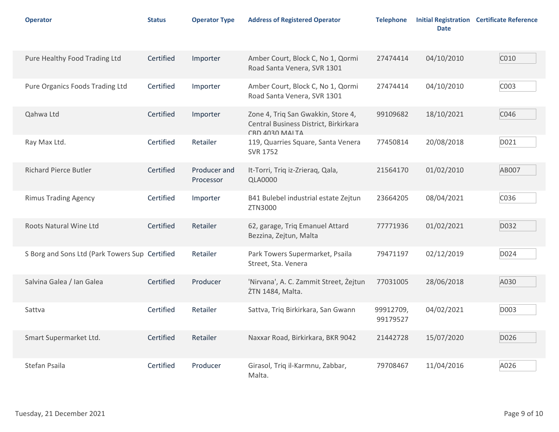| <b>Operator</b>                                | <b>Status</b> | <b>Operator Type</b>      | <b>Address of Registered Operator</b>                                                         | <b>Telephone</b>      | <b>Date</b> | <b>Initial Registration Certificate Reference</b> |
|------------------------------------------------|---------------|---------------------------|-----------------------------------------------------------------------------------------------|-----------------------|-------------|---------------------------------------------------|
| Pure Healthy Food Trading Ltd                  | Certified     | Importer                  | Amber Court, Block C, No 1, Qormi<br>Road Santa Venera, SVR 1301                              | 27474414              | 04/10/2010  | C010                                              |
| Pure Organics Foods Trading Ltd                | Certified     | Importer                  | Amber Court, Block C, No 1, Qormi<br>Road Santa Venera, SVR 1301                              | 27474414              | 04/10/2010  | C003                                              |
| Qahwa Ltd                                      | Certified     | Importer                  | Zone 4, Triq San Gwakkin, Store 4,<br>Central Business District, Birkirkara<br>CRD 4030 MAITA | 99109682              | 18/10/2021  | C046                                              |
| Ray Max Ltd.                                   | Certified     | Retailer                  | 119, Quarries Square, Santa Venera<br>SVR 1752                                                | 77450814              | 20/08/2018  | D021                                              |
| <b>Richard Pierce Butler</b>                   | Certified     | Producer and<br>Processor | It-Torri, Triq iz-Zrieraq, Qala,<br><b>QLA0000</b>                                            | 21564170              | 01/02/2010  | AB007                                             |
| <b>Rimus Trading Agency</b>                    | Certified     | Importer                  | B41 Bulebel industrial estate Zejtun<br>ZTN3000                                               | 23664205              | 08/04/2021  | C036                                              |
| Roots Natural Wine Ltd                         | Certified     | Retailer                  | 62, garage, Triq Emanuel Attard<br>Bezzina, Zejtun, Malta                                     | 77771936              | 01/02/2021  | D032                                              |
| S Borg and Sons Ltd (Park Towers Sup Certified |               | Retailer                  | Park Towers Supermarket, Psaila<br>Street, Sta. Venera                                        | 79471197              | 02/12/2019  | D024                                              |
| Salvina Galea / Ian Galea                      | Certified     | Producer                  | 'Nirvana', A. C. Zammit Street, Żejtun<br>ŻTN 1484, Malta.                                    | 77031005              | 28/06/2018  | A030                                              |
| Sattva                                         | Certified     | Retailer                  | Sattva, Triq Birkirkara, San Gwann                                                            | 99912709,<br>99179527 | 04/02/2021  | D003                                              |
| Smart Supermarket Ltd.                         | Certified     | Retailer                  | Naxxar Road, Birkirkara, BKR 9042                                                             | 21442728              | 15/07/2020  | D026                                              |
| Stefan Psaila                                  | Certified     | Producer                  | Girasol, Triq il-Karmnu, Zabbar,<br>Malta.                                                    | 79708467              | 11/04/2016  | A026                                              |
| Tuesday, 21 December 2021                      |               |                           |                                                                                               |                       |             | Page 9 of 10                                      |